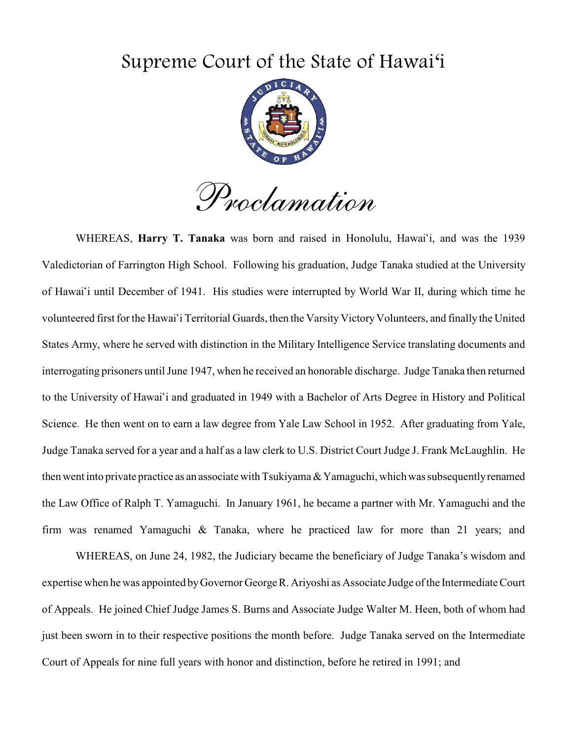## Supreme Court of the State of Hawai'i



*Proclamation* 

 Valedictorian of Farrington High School. Following his graduation, Judge Tanaka studied at the University of Hawai'i until December of 1941. His studies were interrupted by World War II, during which time he volunteered first for the Hawai'i Territorial Guards, then the Varsity Victory Volunteers, and finally the United States Army, where he served with distinction in the Military Intelligence Service translating documents and interrogating prisoners until June 1947, when he received an honorable discharge. Judge Tanaka then returned to the University of Hawai'i and graduated in 1949 with a Bachelor of Arts Degree in History and Political Science. He then went on to earn a law degree from Yale Law School in 1952. After graduating from Yale, firm was renamed Yamaguchi & Tanaka, where he practiced law for more than 21 years; and WHEREAS, Harry T. Tanaka was born and raised in Honolulu, Hawai'i, and was the 1939 Judge Tanaka served for a year and a half as a law clerk to U.S. District Court Judge J. Frank McLaughlin. He then went into private practice as an associate with Tsukiyama & Yamaguchi, which was subsequently renamed the Law Office of Ralph T. Yamaguchi. In January 1961, he became a partner with Mr. Yamaguchi and the

WHEREAS, on June 24, 1982, the Judiciary became the beneficiary of Judge Tanaka's wisdom and expertise when he was appointed byGovernor George R. Ariyoshi as Associate Judge of the Intermediate Court of Appeals. He joined Chief Judge James S. Burns and Associate Judge Walter M. Heen, both of whom had just been sworn in to their respective positions the month before. Judge Tanaka served on the Intermediate Court of Appeals for nine full years with honor and distinction, before he retired in 1991; and